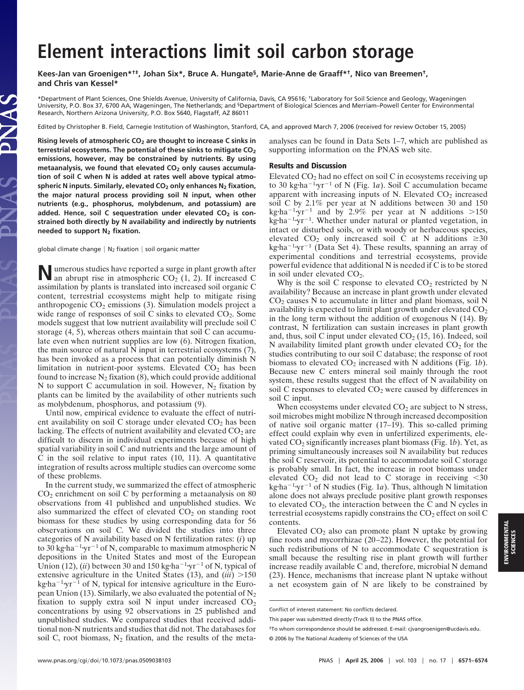## **Element interactions limit soil carbon storage**

**Kees-Jan van Groenigen\*†‡, Johan Six\*, Bruce A. Hungate§, Marie-Anne de Graaff\*†, Nico van Breemen†, and Chris van Kessel\***

\*Department of Plant Sciences, One Shields Avenue, University of California, Davis, CA 95616; †Laboratory for Soil Science and Geology, Wageningen University, P.O. Box 37, 6700 AA, Wageningen, The Netherlands; and §Department of Biological Sciences and Merriam–Powell Center for Environmental Research, Northern Arizona University, P.O. Box 5640, Flagstaff, AZ 86011

Edited by Christopher B. Field, Carnegie Institution of Washington, Stanford, CA, and approved March 7, 2006 (received for review October 15, 2005)

**Rising levels of atmospheric CO2 are thought to increase C sinks in** terrestrial ecosystems. The potential of these sinks to mitigate CO<sub>2</sub> **emissions, however, may be constrained by nutrients. By using** metaanalysis, we found that elevated CO<sub>2</sub> only causes accumula**tion of soil C when N is added at rates well above typical atmo**spheric N inputs. Similarly, elevated CO<sub>2</sub> only enhances N<sub>2</sub> fixation, **the major natural process providing soil N input, when other nutrients (e.g., phosphorus, molybdenum, and potassium) are** added. Hence, soil C sequestration under elevated CO<sub>2</sub> is con**strained both directly by N availability and indirectly by nutrients needed to support N2 fixation.**

global climate change  $\mid N_2$  fixation  $\mid$  soil organic matter

**N**umerous studies have reported a surge in plant growth after an abrupt rise in atmospheric CO<sub>2</sub> (1, 2). If increased C assimilation by plants is translated into increased soil organic C content, terrestrial ecosystems might help to mitigate rising anthropogenic  $CO<sub>2</sub>$  emissions (3). Simulation models project a wide range of responses of soil C sinks to elevated  $CO<sub>2</sub>$ . Some models suggest that low nutrient availability will preclude soil C storage (4, 5), whereas others maintain that soil C can accumulate even when nutrient supplies are low (6). Nitrogen fixation, the main source of natural N input in terrestrial ecosystems (7), has been invoked as a process that can potentially diminish N limitation in nutrient-poor systems. Elevated  $CO<sub>2</sub>$  has been found to increase  $N_2$  fixation (8), which could provide additional N to support C accumulation in soil. However,  $N_2$  fixation by plants can be limited by the availability of other nutrients such as molybdenum, phosphorus, and potassium (9).

Until now, empirical evidence to evaluate the effect of nutrient availability on soil C storage under elevated  $CO<sub>2</sub>$  has been lacking. The effects of nutrient availability and elevated  $CO<sub>2</sub>$  are difficult to discern in individual experiments because of high spatial variability in soil C and nutrients and the large amount of C in the soil relative to input rates (10, 11). A quantitative integration of results across multiple studies can overcome some of these problems.

In the current study, we summarized the effect of atmospheric CO2 enrichment on soil C by performing a metaanalysis on 80 observations from 41 published and unpublished studies. We also summarized the effect of elevated  $CO<sub>2</sub>$  on standing root biomass for these studies by using corresponding data for 56 observations on soil C. We divided the studies into three categories of N availability based on N fertilization rates: (*i*) up to 30 kg·ha<sup>-1</sup>·yr<sup>-1</sup> of N, comparable to maximum atmospheric N depositions in the United States and most of the European Union (12), (*ii*) between 30 and 150 kg·ha<sup> $-1$ </sup>·yr<sup> $-1$ </sup> of N, typical of extensive agriculture in the United States  $(13)$ , and  $(iii) > 150$  $kg \cdot ha^{-1} \cdot yr^{-1}$  of N, typical for intensive agriculture in the European Union (13). Similarly, we also evaluated the potential of  $N_2$ fixation to supply extra soil N input under increased  $CO<sub>2</sub>$ concentrations by using 92 observations in 25 published and unpublished studies. We compared studies that received additional non-N nutrients and studies that did not. The databases for soil C, root biomass,  $N_2$  fixation, and the results of the metaanalyses can be found in Data Sets 1–7, which are published as supporting information on the PNAS web site.

## Results and Discussion

Elevated  $CO<sub>2</sub>$  had no effect on soil C in ecosystems receiving up to 30 kg $\cdot$ ha<sup>-1</sup> $\cdot$ yr<sup>-1</sup> of N (Fig. 1*a*). Soil C accumulation became apparent with increasing inputs of N. Elevated  $CO<sub>2</sub>$  increased soil C by 2.1% per year at N additions between 30 and 150 kg $\cdot$ ha<sup>-1</sup> $\cdot$ yr<sup>-1</sup> and by 2.9% per year at N additions >150  $kg \cdot ha^{-1}$  yr<sup>-1</sup>. Whether under natural or planted vegetation, in intact or disturbed soils, or with woody or herbaceous species, elevated CO<sub>2</sub> only increased soil C at N additions  $\geq 30$ kg·ha<sup>-1</sup>·yr<sup>-1</sup> (Data Set 4). These results, spanning an array of experimental conditions and terrestrial ecosystems, provide powerful evidence that additional N is needed if C is to be stored in soil under elevated CO2.

Why is the soil C response to elevated  $CO<sub>2</sub>$  restricted by N availability? Because an increase in plant growth under elevated  $CO<sub>2</sub>$  causes N to accumulate in litter and plant biomass, soil N availability is expected to limit plant growth under elevated  $CO<sub>2</sub>$ in the long term without the addition of exogenous N (14). By contrast, N fertilization can sustain increases in plant growth and, thus, soil C input under elevated  $CO<sub>2</sub>$  (15, 16). Indeed, soil N availability limited plant growth under elevated  $CO<sub>2</sub>$  for the studies contributing to our soil C database; the response of root biomass to elevated CO<sub>2</sub> increased with N additions (Fig. 1*b*). Because new C enters mineral soil mainly through the root system, these results suggest that the effect of N availability on soil C responses to elevated  $CO<sub>2</sub>$  were caused by differences in soil C input.

When ecosystems under elevated  $CO<sub>2</sub>$  are subject to N stress, soil microbes might mobilize N through increased decomposition of native soil organic matter (17–19). This so-called priming effect could explain why even in unfertilized experiments, elevated  $CO_2$  significantly increases plant biomass (Fig. 1*b*). Yet, as priming simultaneously increases soil N availability but reduces the soil C reservoir, its potential to accommodate soil C storage is probably small. In fact, the increase in root biomass under elevated  $CO<sub>2</sub>$  did not lead to C storage in receiving  $<$ 30 kg $\cdot$ ha<sup>-1</sup> $\cdot$ yr<sup>-1</sup> of N studies (Fig. 1*a*). Thus, although N limitation alone does not always preclude positive plant growth responses to elevated  $CO<sub>2</sub>$ , the interaction between the C and N cycles in terrestrial ecosystems rapidly constrains the  $CO<sub>2</sub>$  effect on soil C contents.

Elevated  $CO<sub>2</sub>$  also can promote plant N uptake by growing fine roots and mycorrhizae (20–22). However, the potential for such redistributions of N to accommodate C sequestration is small because the resulting rise in plant growth will further increase readily available C and, therefore, microbial N demand (23). Hence, mechanisms that increase plant N uptake without a net ecosystem gain of N are likely to be constrained by

Conflict of interest statement: No conflicts declared.

This paper was submitted directly (Track II) to the PNAS office.

<sup>‡</sup>To whom correspondence should be addressed. E-mail: cjvangroenigen@ucdavis.edu. © 2006 by The National Academy of Sciences of the USA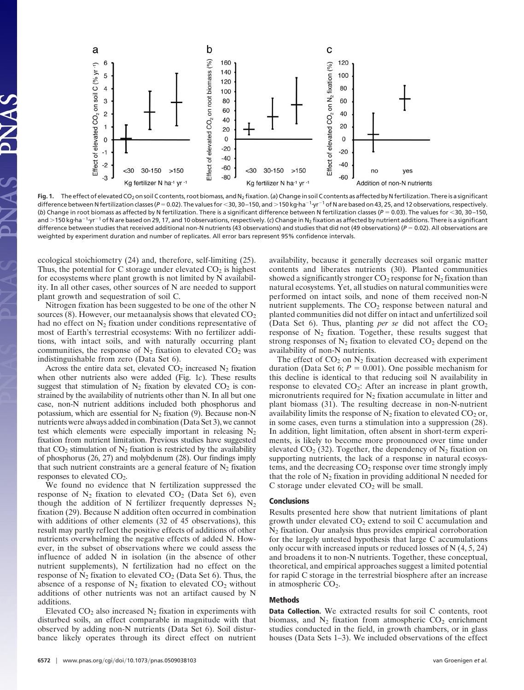

Fig. 1. The effect of elevated CO<sub>2</sub> on soil C contents, root biomass, and N<sub>2</sub> fixation. (a) Change in soil C contents as affected by N fertilization. There is a significant difference between N fertilization classes (P = 0.02). The values for <30, 30-150, and >150 kg·ha<sup>-1</sup>·yr<sup>-1</sup> of N are based on 43, 25, and 12 observations, respectively. (*b*) Change in root biomass as affected by N fertilization. There is a significant difference between N fertilization classes ( $P = 0.03$ ). The values for <30, 30-150, and >150 kg·ha<sup>-1</sup>·yr<sup>-1</sup> of N are based on 29, 17, and 10 observations, respectively. (c) Change in N<sub>2</sub> fixation as affected by nutrient additions. There is a significant difference between studies that received additional non-N nutrients (43 observations) and studies that did not (49 observations) (*P* = 0.02). All observations are weighted by experiment duration and number of replicates. All error bars represent 95% confidence intervals.

ecological stoichiometry (24) and, therefore, self-limiting (25). Thus, the potential for C storage under elevated  $CO<sub>2</sub>$  is highest for ecosystems where plant growth is not limited by N availability. In all other cases, other sources of N are needed to support plant growth and sequestration of soil C.

Nitrogen fixation has been suggested to be one of the other N sources (8). However, our metaanalysis shows that elevated  $CO<sub>2</sub>$ had no effect on  $N_2$  fixation under conditions representative of most of Earth's terrestrial ecosystems: With no fertilizer additions, with intact soils, and with naturally occurring plant communities, the response of  $N_2$  fixation to elevated  $CO_2$  was indistinguishable from zero (Data Set 6).

Across the entire data set, elevated  $CO<sub>2</sub>$  increased  $N<sub>2</sub>$  fixation when other nutrients also were added (Fig. 1*c*). These results suggest that stimulation of  $N_2$  fixation by elevated  $CO_2$  is constrained by the availability of nutrients other than N. In all but one case, non-N nutrient additions included both phosphorus and potassium, which are essential for  $N_2$  fixation (9). Because non-N nutrients were always added in combination (Data Set 3), we cannot test which elements were especially important in releasing  $N_2$ fixation from nutrient limitation. Previous studies have suggested that  $CO<sub>2</sub>$  stimulation of  $N<sub>2</sub>$  fixation is restricted by the availability of phosphorus (26, 27) and molybdenum (28). Our findings imply that such nutrient constraints are a general feature of  $N_2$  fixation responses to elevated CO<sub>2</sub>.

We found no evidence that N fertilization suppressed the response of  $N_2$  fixation to elevated  $CO_2$  (Data Set 6), even though the addition of N fertilizer frequently depresses  $N_2$ fixation (29). Because N addition often occurred in combination with additions of other elements (32 of 45 observations), this result may partly reflect the positive effects of additions of other nutrients overwhelming the negative effects of added N. However, in the subset of observations where we could assess the influence of added N in isolation (in the absence of other nutrient supplements), N fertilization had no effect on the response of  $N_2$  fixation to elevated  $CO_2$  (Data Set 6). Thus, the absence of a response of  $N_2$  fixation to elevated  $CO_2$  without additions of other nutrients was not an artifact caused by N additions.

Elevated  $CO<sub>2</sub>$  also increased  $N<sub>2</sub>$  fixation in experiments with disturbed soils, an effect comparable in magnitude with that observed by adding non-N nutrients (Data Set 6). Soil disturbance likely operates through its direct effect on nutrient availability, because it generally decreases soil organic matter contents and liberates nutrients (30). Planted communities showed a significantly stronger  $CO_2$  response for  $N_2$  fixation than natural ecosystems. Yet, all studies on natural communities were performed on intact soils, and none of them received non-N nutrient supplements. The  $CO<sub>2</sub>$  response between natural and planted communities did not differ on intact and unfertilized soil (Data Set 6). Thus, planting *per se* did not affect the  $CO<sub>2</sub>$ response of  $N_2$  fixation. Together, these results suggest that strong responses of  $N_2$  fixation to elevated  $CO_2$  depend on the availability of non-N nutrients.

The effect of  $CO<sub>2</sub>$  on  $N<sub>2</sub>$  fixation decreased with experiment duration (Data Set 6;  $P = 0.001$ ). One possible mechanism for this decline is identical to that reducing soil N availability in response to elevated  $CO_2$ : After an increase in plant growth, micronutrients required for  $N_2$  fixation accumulate in litter and plant biomass (31). The resulting decrease in non-N-nutrient availability limits the response of  $N_2$  fixation to elevated  $CO_2$  or, in some cases, even turns a stimulation into a suppression (28). In addition, light limitation, often absent in short-term experiments, is likely to become more pronounced over time under elevated  $CO_2$  (32). Together, the dependency of  $N_2$  fixation on supporting nutrients, the lack of a response in natural ecosystems, and the decreasing CO<sub>2</sub> response over time strongly imply that the role of  $N_2$  fixation in providing additional N needed for  $C$  storage under elevated  $CO<sub>2</sub>$  will be small.

## Conclusions

Results presented here show that nutrient limitations of plant growth under elevated  $CO<sub>2</sub>$  extend to soil C accumulation and N2 fixation. Our analysis thus provides empirical corroboration for the largely untested hypothesis that large C accumulations only occur with increased inputs or reduced losses of N (4, 5, 24) and broadens it to non-N nutrients. Together, these conceptual, theoretical, and empirical approaches suggest a limited potential for rapid C storage in the terrestrial biosphere after an increase in atmospheric CO<sub>2</sub>.

## Methods

Data Collection. We extracted results for soil C contents, root biomass, and  $N_2$  fixation from atmospheric  $CO_2$  enrichment studies conducted in the field, in growth chambers, or in glass houses (Data Sets 1–3). We included observations of the effect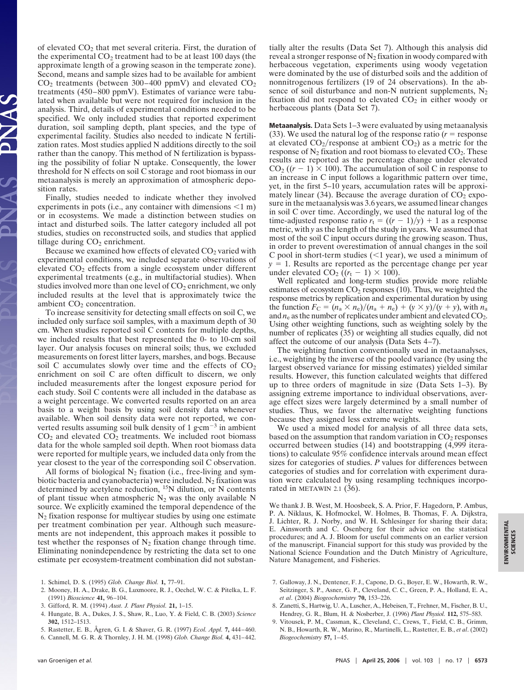of elevated  $CO<sub>2</sub>$  that met several criteria. First, the duration of the experimental  $CO<sub>2</sub>$  treatment had to be at least 100 days (the approximate length of a growing season in the temperate zone). Second, means and sample sizes had to be available for ambient  $CO<sub>2</sub>$  treatments (between 300–400 ppmV) and elevated  $CO<sub>2</sub>$ treatments (450–800 ppmV). Estimates of variance were tabulated when available but were not required for inclusion in the analysis. Third, details of experimental conditions needed to be specified. We only included studies that reported experiment duration, soil sampling depth, plant species, and the type of experimental facility. Studies also needed to indicate N fertilization rates. Most studies applied N additions directly to the soil rather than the canopy. This method of N fertilization is bypassing the possibility of foliar N uptake. Consequently, the lower threshold for N effects on soil C storage and root biomass in our metaanalysis is merely an approximation of atmospheric deposition rates.

Finally, studies needed to indicate whether they involved experiments in pots (i.e., any container with dimensions  $\leq 1$  m) or in ecosystems. We made a distinction between studies on intact and disturbed soils. The latter category included all pot studies, studies on reconstructed soils, and studies that applied tillage during  $CO<sub>2</sub>$  enrichment.

Because we examined how effects of elevated CO<sub>2</sub> varied with experimental conditions, we included separate observations of elevated  $CO<sub>2</sub>$  effects from a single ecosystem under different experimental treatments (e.g., in multifactorial studies). When studies involved more than one level of  $CO<sub>2</sub>$  enrichment, we only included results at the level that is approximately twice the ambient  $CO<sub>2</sub>$  concentration.

To increase sensitivity for detecting small effects on soil C, we included only surface soil samples, with a maximum depth of 30 cm. When studies reported soil C contents for multiple depths, we included results that best represented the 0- to 10-cm soil layer. Our analysis focuses on mineral soils; thus, we excluded measurements on forest litter layers, marshes, and bogs. Because soil C accumulates slowly over time and the effects of  $CO<sub>2</sub>$ enrichment on soil C are often difficult to discern, we only included measurements after the longest exposure period for each study. Soil C contents were all included in the database as a weight percentage. We converted results reported on an area basis to a weight basis by using soil density data whenever available. When soil density data were not reported, we converted results assuming soil bulk density of 1 g $\rm cm^{-3}$  in ambient  $CO<sub>2</sub>$  and elevated  $CO<sub>2</sub>$  treatments. We included root biomass data for the whole sampled soil depth. When root biomass data were reported for multiple years, we included data only from the year closest to the year of the corresponding soil C observation.

All forms of biological  $N_2$  fixation (i.e., free-living and symbiotic bacteria and cyanobacteria) were included.  $N_2$  fixation was determined by acetylene reduction, 15N dilution, or N contents of plant tissue when atmospheric  $N_2$  was the only available N source. We explicitly examined the temporal dependence of the  $N_2$  fixation response for multiyear studies by using one estimate per treatment combination per year. Although such measurements are not independent, this approach makes it possible to test whether the responses of  $N_2$  fixation change through time. Eliminating nonindependence by restricting the data set to one estimate per ecosystem-treatment combination did not substan-

1. Schimel, D. S. (1995) *Glob. Change Biol.* **1,** 77–91.

- 2. Mooney, H. A., Drake, B. G., Luxmoore, R. J., Oechel, W. C. & Pitelka, L. F. (1991) *Bioscience* **41,** 96–104.
- 3. Gifford, R. M. (1994) *Aust. J. Plant Physiol.* **21,** 1–15.
- 4. Hungate, B. A., Dukes, J. S., Shaw, R., Luo, Y. & Field, C. B. (2003) *Science* **302,** 1512–1513.
- 5. Rastetter, E. B., Ågren, G. I. & Shaver, G. R. (1997) *Ecol. Appl.* **7,** 444–460.
- 6. Cannell, M. G. R. & Thornley, J. H. M. (1998) *Glob. Change Biol.* **4,** 431–442.

tially alter the results (Data Set 7). Although this analysis did reveal a stronger response of  $N_2$  fixation in woody compared with herbaceous vegetation, experiments using woody vegetation were dominated by the use of disturbed soils and the addition of nonnitrogenous fertilizers (19 of 24 observations). In the absence of soil disturbance and non-N nutrient supplements,  $N_2$ fixation did not respond to elevated  $CO<sub>2</sub>$  in either woody or herbaceous plants (Data Set 7).

Metaanalysis. Data Sets 1–3 were evaluated by using metaanalysis (33). We used the natural log of the response ratio  $(r =$  response at elevated  $CO_2$ /response at ambient  $CO_2$ ) as a metric for the response of  $N_2$  fixation and root biomass to elevated  $CO_2$ . These results are reported as the percentage change under elevated  $CO<sub>2</sub>$  ( $(r - 1) \times 100$ ). The accumulation of soil C in response to an increase in C input follows a logarithmic pattern over time, yet, in the first 5–10 years, accumulation rates will be approximately linear (34). Because the average duration of  $CO<sub>2</sub>$  exposure in the metaanalysis was 3.6 years, we assumed linear changes in soil C over time. Accordingly, we used the natural log of the time-adjusted response ratio  $r_t = ((r - 1)/y) + 1$  as a response metric, with *y* as the length of the study in years. We assumed that most of the soil C input occurs during the growing season. Thus, in order to prevent overestimation of annual changes in the soil C pool in short-term studies  $($  < 1 year), we used a minimum of  $y = 1$ . Results are reported as the percentage change per year under elevated  $CO_2$  ( $(r_t - 1) \times 100$ ).

Well replicated and long-term studies provide more reliable estimates of ecosystem  $CO<sub>2</sub>$  responses (10). Thus, we weighted the response metrics by replication and experimental duration by using the function  $F_C = (n_a \times n_e)/(n_a + n_e) + (y \times y)/(y + y)$ , with  $n_a$ and  $n_e$  as the number of replicates under ambient and elevated  $CO_2$ . Using other weighting functions, such as weighting solely by the number of replicates (35) or weighting all studies equally, did not affect the outcome of our analysis (Data Sets 4–7).

The weighting function conventionally used in metaanalyses, i.e., weighting by the inverse of the pooled variance (by using the largest observed variance for missing estimates) yielded similar results. However, this function calculated weights that differed up to three orders of magnitude in size (Data Sets 1–3). By assigning extreme importance to individual observations, average effect sizes were largely determined by a small number of studies. Thus, we favor the alternative weighting functions because they assigned less extreme weights.

We used a mixed model for analysis of all three data sets, based on the assumption that random variation in  $CO<sub>2</sub>$  responses occurred between studies (14) and bootstrapping (4,999 iterations) to calculate 95% confidence intervals around mean effect sizes for categories of studies. *P* values for differences between categories of studies and for correlation with experiment duration were calculated by using resampling techniques incorporated in METAWIN 2.1 (36).

We thank J. B. West, M. Hoosbeek, S. A. Prior, F. Hagedorn, P. Ambus, P. A. Niklaus, K. Hofmockel, W. Holmes, B. Thomas, F. A. Dijkstra, J. Lichter, R. J. Norby, and W. H. Schlesinger for sharing their data; E. Ainsworth and C. Osenberg for their advice on the statistical procedures; and A. J. Bloom for useful comments on an earlier version of the manuscript. Financial support for this study was provided by the National Science Foundation and the Dutch Ministry of Agriculture, Nature Management, and Fisheries.

- 7. Galloway, J. N., Dentener, F. J., Capone, D. G., Boyer, E. W., Howarth, R. W., Seitzinger, S. P., Asner, G. P., Cleveland, C. C., Green, P. A., Holland, E. A., *et al*. (2004) *Biogeochemistry* **70,** 153–226.
- 8. Zanetti, S., Hartwig, U. A., Luscher, A., Hebeisen, T., Frehner, M., Fischer, B. U., Hendrey, G. R., Blum, H. & Nosberber, J. (1996) *Plant Physiol.* **112,** 575–583.
- 9. Vitousek, P. M., Cassman, K., Cleveland, C., Crews, T., Field, C. B., Grimm, N. B., Howarth, R. W., Marino, R., Martinelli, L., Rastetter, E. B., *et al*. (2002) *Biogeochemistry* **57,** 1–45.